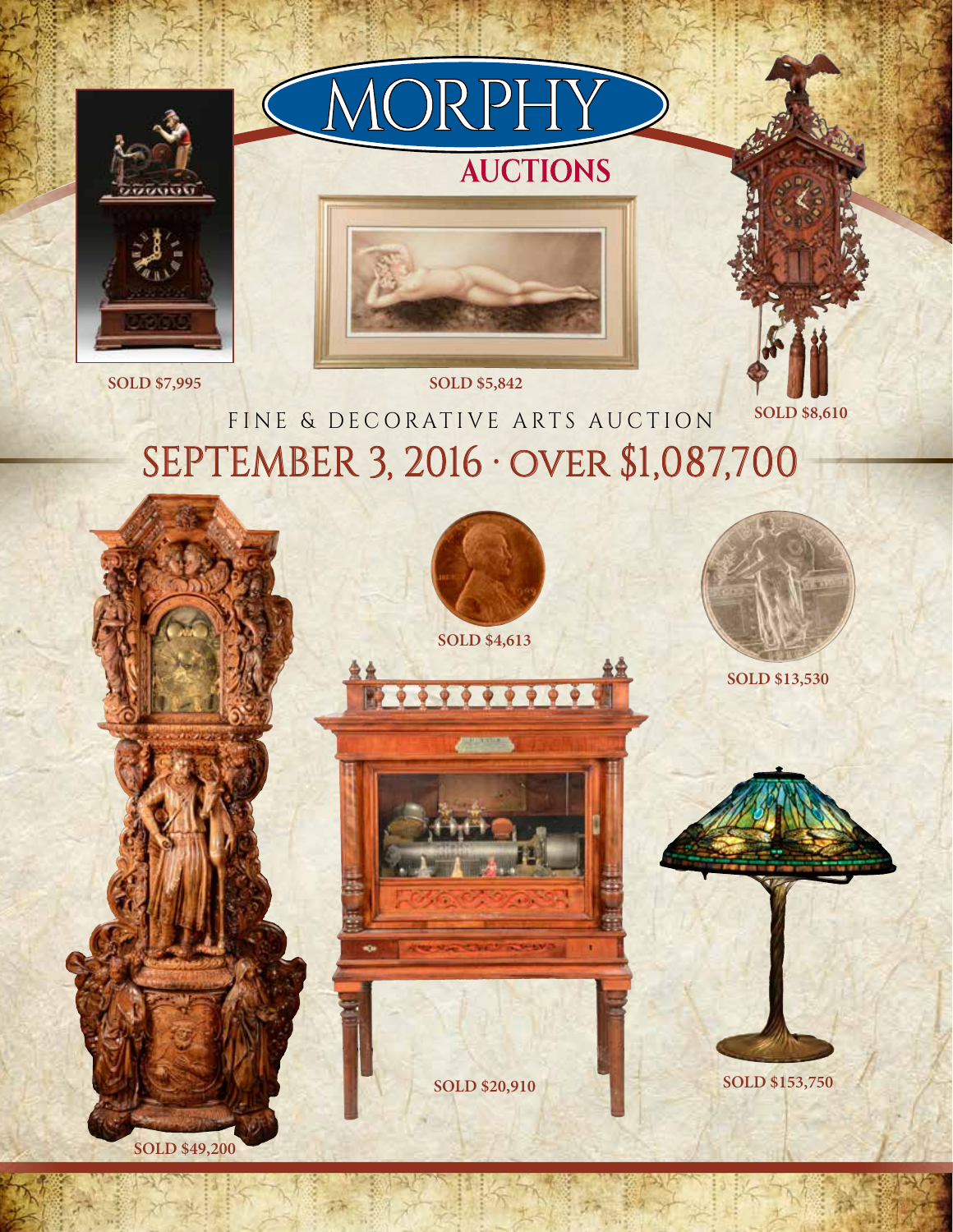

## SEPTEMBER 3, 2016 ∙ over \$1,087,700 FINE & DECORATIVE ARTS AUCTION

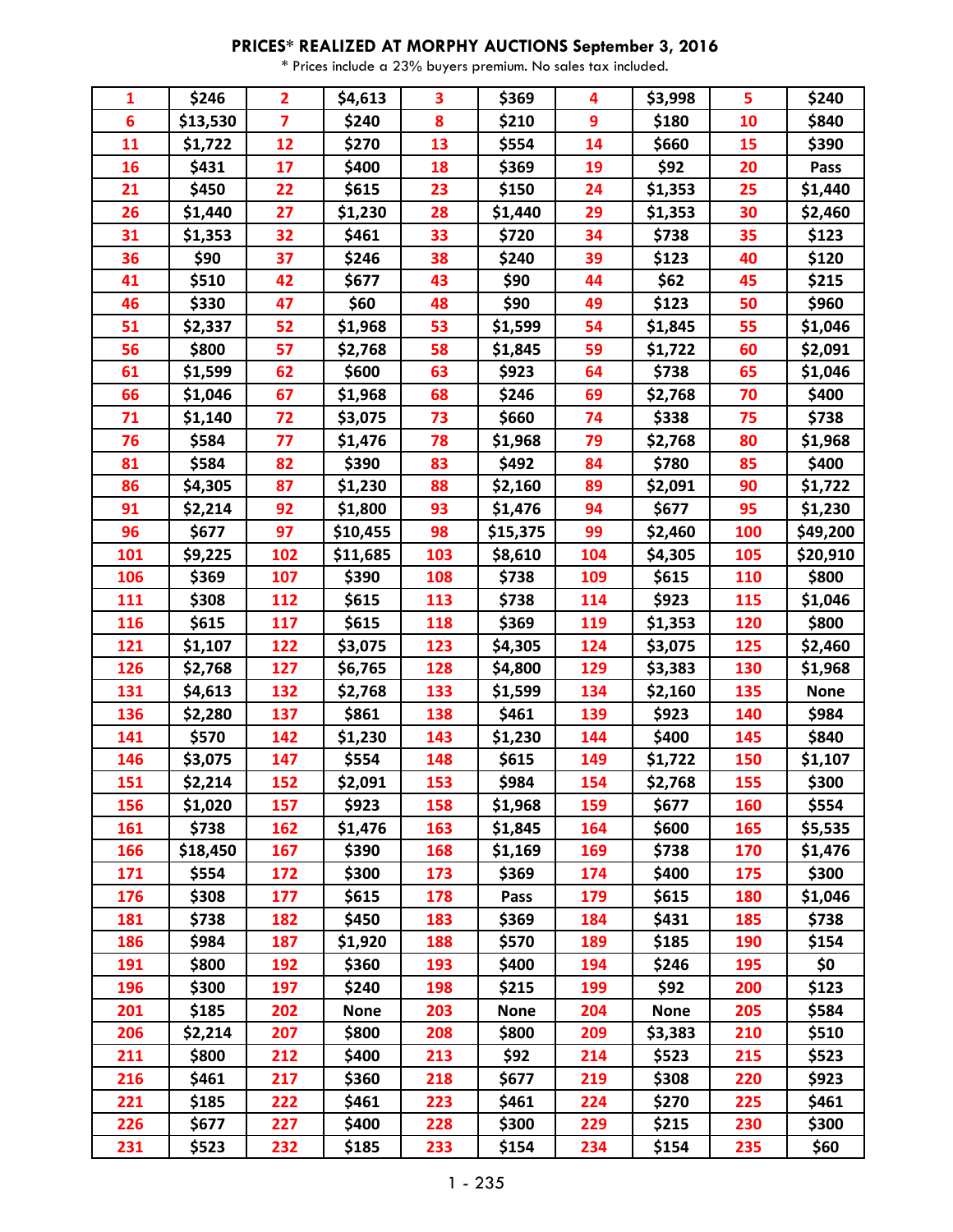## **PRICES\* REALIZED AT MORPHY AUCTIONS September 3, 2016**

\* Prices include a 23% buyers premium. No sales tax included.

| $\mathbf{1}$ | \$246    | $\overline{2}$          | \$4,613     | 3                | \$369       | 4   | \$3,998     | 5   | \$240       |
|--------------|----------|-------------------------|-------------|------------------|-------------|-----|-------------|-----|-------------|
| 6            | \$13,530 | $\overline{\mathbf{z}}$ | \$240       | $\boldsymbol{8}$ | \$210       | 9   | \$180       | 10  | \$840       |
| 11           | \$1,722  | 12                      | \$270       | 13               | \$554       | 14  | \$660       | 15  | \$390       |
| 16           | \$431    | 17                      | \$400       | 18               | \$369       | 19  | \$92        | 20  | Pass        |
| 21           | \$450    | 22                      | \$615       | 23               | \$150       | 24  | \$1,353     | 25  | \$1,440     |
| 26           | \$1,440  | 27                      | \$1,230     | 28               | \$1,440     | 29  | \$1,353     | 30  | \$2,460     |
| 31           | \$1,353  | 32                      | \$461       | 33               | \$720       | 34  | \$738       | 35  | \$123       |
| 36           | \$90     | 37                      | \$246       | 38               | \$240       | 39  | \$123       | 40  | \$120       |
| 41           | \$510    | 42                      | \$677       | 43               | \$90        | 44  | \$62        | 45  | \$215       |
| 46           | \$330    | 47                      | \$60        | 48               | \$90        | 49  | \$123       | 50  | \$960       |
| 51           | \$2,337  | 52                      | \$1,968     | 53               | \$1,599     | 54  | \$1,845     | 55  | \$1,046     |
| 56           | \$800    | 57                      | \$2,768     | 58               | \$1,845     | 59  | \$1,722     | 60  | \$2,091     |
| 61           | \$1,599  | 62                      | \$600       | 63               | \$923       | 64  | \$738       | 65  | \$1,046     |
| 66           | \$1,046  | 67                      | \$1,968     | 68               | \$246       | 69  | \$2,768     | 70  | \$400       |
| 71           | \$1,140  | 72                      | \$3,075     | 73               | \$660       | 74  | \$338       | 75  | \$738       |
| 76           | \$584    | 77                      | \$1,476     | 78               | \$1,968     | 79  | \$2,768     | 80  | \$1,968     |
| 81           | \$584    | 82                      | \$390       | 83               | \$492       | 84  | \$780       | 85  | \$400       |
| 86           | \$4,305  | 87                      | \$1,230     | 88               | \$2,160     | 89  | \$2,091     | 90  | \$1,722     |
| 91           | \$2,214  | 92                      | \$1,800     | 93               | \$1,476     | 94  | \$677       | 95  | \$1,230     |
| 96           | \$677    | 97                      | \$10,455    | 98               | \$15,375    | 99  | \$2,460     | 100 | \$49,200    |
| 101          | \$9,225  | 102                     | \$11,685    | 103              | \$8,610     | 104 | \$4,305     | 105 | \$20,910    |
| 106          | \$369    | 107                     | \$390       | 108              | \$738       | 109 | \$615       | 110 | \$800       |
| 111          | \$308    | 112                     | \$615       | 113              | \$738       | 114 | \$923       | 115 | \$1,046     |
| 116          | \$615    | 117                     | \$615       | 118              | \$369       | 119 | \$1,353     | 120 | \$800       |
| 121          | \$1,107  | 122                     | \$3,075     | 123              | \$4,305     | 124 | \$3,075     | 125 | \$2,460     |
| 126          | \$2,768  | 127                     | \$6,765     | 128              | \$4,800     | 129 | \$3,383     | 130 | \$1,968     |
| 131          | \$4,613  | 132                     | \$2,768     | 133              | \$1,599     | 134 | \$2,160     | 135 | <b>None</b> |
| 136          | \$2,280  | 137                     | \$861       | 138              | \$461       | 139 | \$923       | 140 | \$984       |
| 141          | \$570    | 142                     | \$1,230     | 143              | \$1,230     | 144 | \$400       | 145 | \$840       |
| 146          | \$3,075  | 147                     | \$554       | 148              | \$615       | 149 | \$1,722     | 150 | \$1,107     |
| 151          | \$2,214  | 152                     | \$2,091     | 153              | \$984       | 154 | \$2,768     | 155 | \$300       |
| 156          | \$1,020  | 157                     | \$923       | 158              | \$1,968     | 159 | \$677       | 160 | \$554       |
| 161          | \$738    | 162                     | \$1,476     | 163              | \$1,845     | 164 | \$600       | 165 | \$5,535     |
| 166          | \$18,450 | 167                     | \$390       | 168              | \$1,169     | 169 | \$738       | 170 | \$1,476     |
| 171          | \$554    | 172                     | \$300       | 173              | \$369       | 174 | \$400       | 175 | \$300       |
| 176          | \$308    | 177                     | \$615       | 178              | Pass        | 179 | \$615       | 180 | \$1,046     |
| 181          | \$738    | 182                     | \$450       | 183              | \$369       | 184 | \$431       | 185 | \$738       |
| 186          | \$984    | 187                     | \$1,920     | 188              | \$570       | 189 | \$185       | 190 | \$154       |
| 191          | \$800    | 192                     | \$360       | 193              | \$400       | 194 | \$246       | 195 | \$0         |
| 196          | \$300    | 197                     | \$240       | 198              | \$215       | 199 | \$92        | 200 | \$123       |
| 201          | \$185    | 202                     | <b>None</b> | 203              | <b>None</b> | 204 | <b>None</b> | 205 | \$584       |
| 206          | \$2,214  | 207                     | \$800       | 208              | \$800       | 209 | \$3,383     | 210 | \$510       |
| 211          | \$800    | 212                     | \$400       | 213              | \$92        | 214 | \$523       | 215 | \$523       |
| 216          | \$461    | 217                     | \$360       | 218              | \$677       | 219 | \$308       | 220 | \$923       |
| 221          | \$185    | 222                     | \$461       | 223              | \$461       | 224 | \$270       | 225 | \$461       |
| 226          | \$677    | 227                     | \$400       | 228              | \$300       | 229 | \$215       | 230 | \$300       |
| 231          | \$523    | 232                     | \$185       | 233              | \$154       | 234 | \$154       | 235 | \$60        |
|              |          |                         |             |                  |             |     |             |     |             |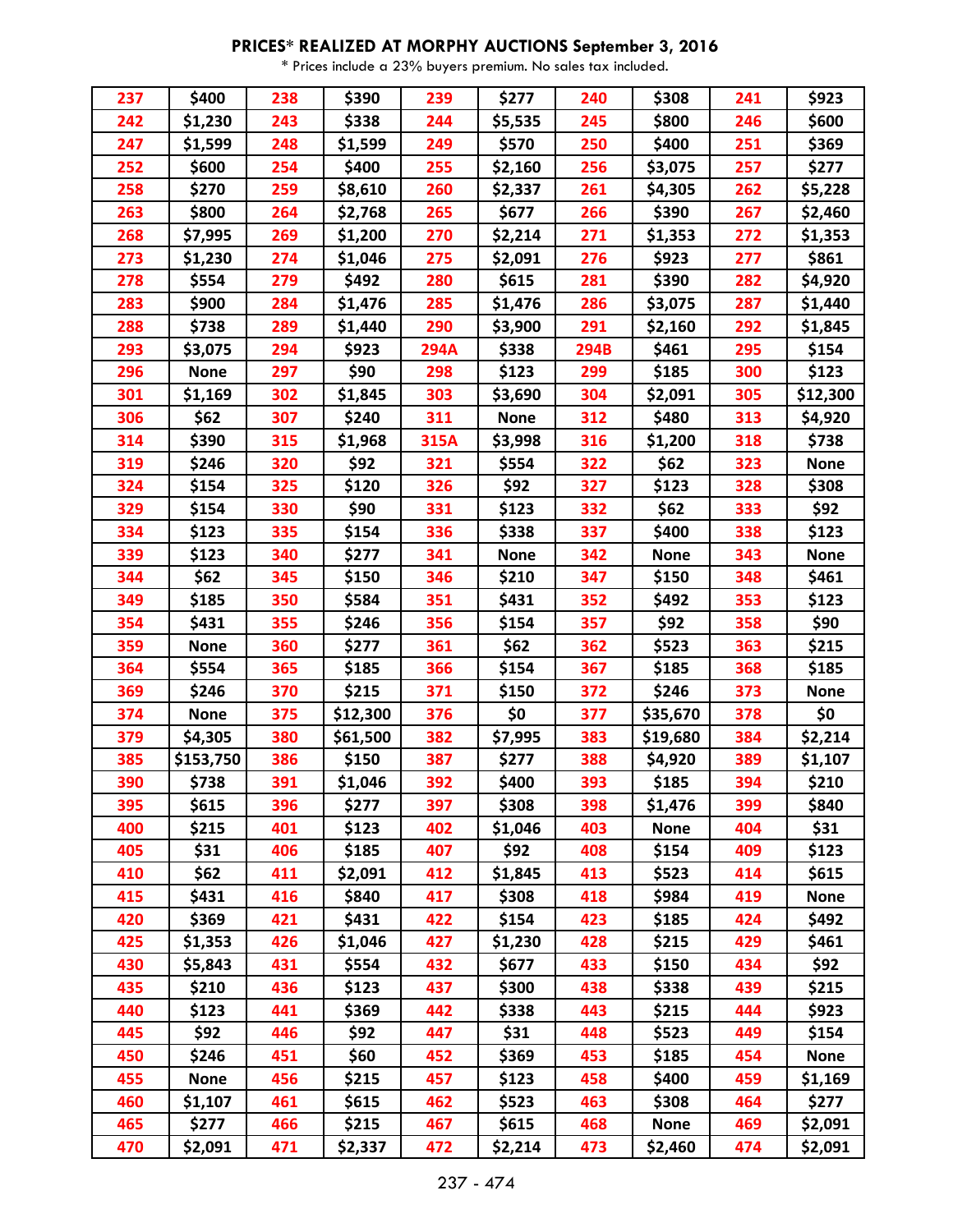## **PRICES\* REALIZED AT MORPHY AUCTIONS September 3, 2016**

\* Prices include a 23% buyers premium. No sales tax included.

| 237 | \$400       | 238 | \$390    | 239         | \$277       | 240  | \$308       | 241 | \$923       |
|-----|-------------|-----|----------|-------------|-------------|------|-------------|-----|-------------|
| 242 | \$1,230     | 243 | \$338    | 244         | \$5,535     | 245  | \$800       | 246 | \$600       |
| 247 | \$1,599     | 248 | \$1,599  | 249         | \$570       | 250  | \$400       | 251 | \$369       |
| 252 | \$600       | 254 | \$400    | 255         | \$2,160     | 256  | \$3,075     | 257 | \$277       |
| 258 | \$270       | 259 | \$8,610  | 260         | \$2,337     | 261  | \$4,305     | 262 | \$5,228     |
| 263 | \$800       | 264 | \$2,768  | 265         | \$677       | 266  | \$390       | 267 | \$2,460     |
| 268 | \$7,995     | 269 | \$1,200  | 270         | \$2,214     | 271  | \$1,353     | 272 | \$1,353     |
| 273 | \$1,230     | 274 | \$1,046  | 275         | \$2,091     | 276  | \$923       | 277 | \$861       |
| 278 | \$554       | 279 | \$492    | 280         | \$615       | 281  | \$390       | 282 | \$4,920     |
| 283 | \$900       | 284 | \$1,476  | 285         | \$1,476     | 286  | \$3,075     | 287 | \$1,440     |
| 288 | \$738       | 289 | \$1,440  | 290         | \$3,900     | 291  | \$2,160     | 292 | \$1,845     |
| 293 | \$3,075     | 294 | \$923    | <b>294A</b> | \$338       | 294B | \$461       | 295 | \$154       |
| 296 | <b>None</b> | 297 | \$90     | 298         | \$123       | 299  | \$185       | 300 | \$123       |
| 301 | \$1,169     | 302 | \$1,845  | 303         | \$3,690     | 304  | \$2,091     | 305 | \$12,300    |
| 306 | \$62        | 307 | \$240    | 311         | <b>None</b> | 312  | \$480       | 313 | \$4,920     |
| 314 | \$390       | 315 | \$1,968  | 315A        | \$3,998     | 316  | \$1,200     | 318 | \$738       |
| 319 | \$246       | 320 | \$92     | 321         | \$554       | 322  | \$62        | 323 | <b>None</b> |
| 324 | \$154       | 325 | \$120    | 326         | \$92        | 327  | \$123       | 328 | \$308       |
| 329 | \$154       | 330 | \$90     | 331         | \$123       | 332  | \$62        | 333 | \$92        |
| 334 | \$123       | 335 | \$154    | 336         | \$338       | 337  | \$400       | 338 | \$123       |
| 339 | \$123       | 340 | \$277    | 341         | <b>None</b> | 342  | <b>None</b> | 343 | <b>None</b> |
| 344 | \$62        | 345 | \$150    | 346         | \$210       | 347  | \$150       | 348 | \$461       |
| 349 | \$185       | 350 | \$584    | 351         | \$431       | 352  | \$492       | 353 | \$123       |
| 354 | \$431       | 355 | \$246    | 356         | \$154       | 357  | \$92        | 358 | \$90        |
| 359 | <b>None</b> | 360 | \$277    | 361         | \$62        | 362  | \$523       | 363 | \$215       |
| 364 | \$554       | 365 | \$185    | 366         | \$154       | 367  | \$185       | 368 | \$185       |
| 369 | \$246       | 370 | \$215    | 371         | \$150       | 372  | \$246       | 373 | <b>None</b> |
| 374 | <b>None</b> | 375 | \$12,300 | 376         | \$0         | 377  | \$35,670    | 378 | \$0         |
| 379 | \$4,305     | 380 | \$61,500 | 382         | \$7,995     | 383  | \$19,680    | 384 | \$2,214     |
| 385 | \$153,750   | 386 | \$150    | 387         | \$277       | 388  | \$4,920     | 389 | \$1,107     |
| 390 | \$738       | 391 | \$1,046  | 392         | \$400       | 393  | \$185       | 394 | \$210       |
| 395 | \$615       | 396 | \$277    | 397         | \$308       | 398  | \$1,476     | 399 | \$840       |
| 400 | \$215       | 401 | \$123    | 402         | \$1,046     | 403  | <b>None</b> | 404 | \$31        |
| 405 | \$31        | 406 | \$185    | 407         | \$92        | 408  | \$154       | 409 | \$123       |
| 410 | \$62        | 411 | \$2,091  | 412         | \$1,845     | 413  | \$523       | 414 | \$615       |
| 415 | \$431       | 416 | \$840    | 417         | \$308       | 418  | \$984       | 419 | <b>None</b> |
| 420 | \$369       | 421 | \$431    | 422         | \$154       | 423  | \$185       | 424 | \$492       |
| 425 | \$1,353     | 426 | \$1,046  | 427         | \$1,230     | 428  | \$215       | 429 | \$461       |
| 430 | \$5,843     | 431 | \$554    | 432         | \$677       | 433  | \$150       | 434 | \$92        |
| 435 | \$210       | 436 | \$123    | 437         | \$300       | 438  | \$338       | 439 | \$215       |
| 440 | \$123       | 441 | \$369    | 442         | \$338       | 443  | \$215       | 444 | \$923       |
| 445 | \$92        | 446 | \$92     | 447         | \$31        | 448  | \$523       | 449 | \$154       |
| 450 | \$246       | 451 | \$60     | 452         | \$369       | 453  | \$185       | 454 | <b>None</b> |
| 455 | <b>None</b> | 456 | \$215    | 457         | \$123       | 458  | \$400       | 459 | \$1,169     |
| 460 | \$1,107     | 461 | \$615    | 462         | \$523       | 463  | \$308       | 464 | \$277       |
| 465 | \$277       | 466 | \$215    | 467         | \$615       | 468  | <b>None</b> | 469 | \$2,091     |
| 470 | \$2,091     | 471 | \$2,337  | 472         | \$2,214     | 473  | \$2,460     | 474 | \$2,091     |